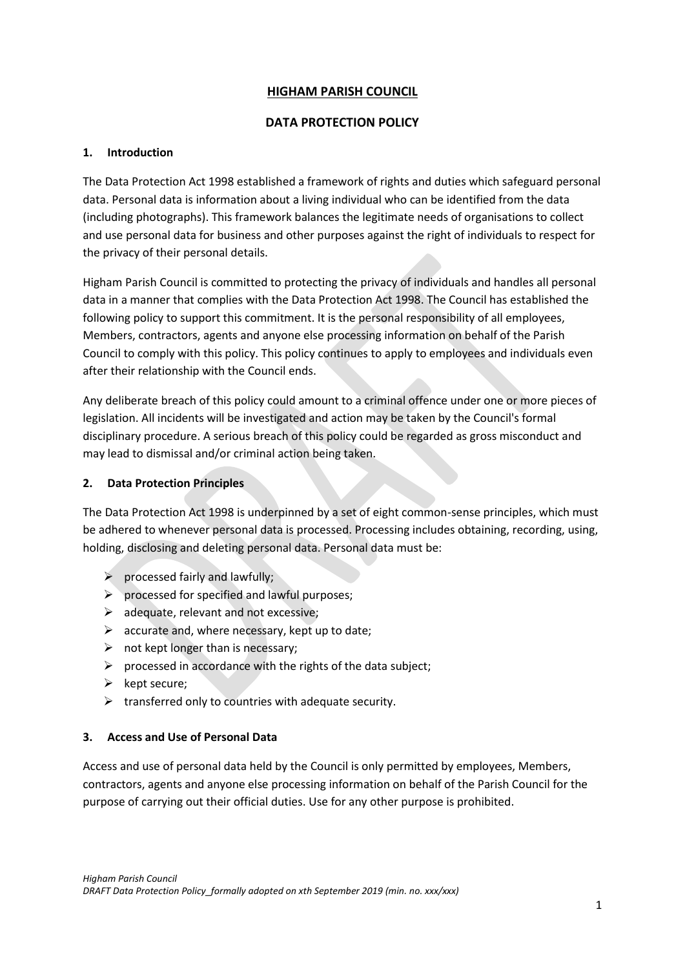## **HIGHAM PARISH COUNCIL**

### **DATA PROTECTION POLICY**

## **1. Introduction**

The Data Protection Act 1998 established a framework of rights and duties which safeguard personal data. Personal data is information about a living individual who can be identified from the data (including photographs). This framework balances the legitimate needs of organisations to collect and use personal data for business and other purposes against the right of individuals to respect for the privacy of their personal details.

Higham Parish Council is committed to protecting the privacy of individuals and handles all personal data in a manner that complies with the Data Protection Act 1998. The Council has established the following policy to support this commitment. It is the personal responsibility of all employees, Members, contractors, agents and anyone else processing information on behalf of the Parish Council to comply with this policy. This policy continues to apply to employees and individuals even after their relationship with the Council ends.

Any deliberate breach of this policy could amount to a criminal offence under one or more pieces of legislation. All incidents will be investigated and action may be taken by the Council's formal disciplinary procedure. A serious breach of this policy could be regarded as gross misconduct and may lead to dismissal and/or criminal action being taken.

## **2. Data Protection Principles**

The Data Protection Act 1998 is underpinned by a set of eight common-sense principles, which must be adhered to whenever personal data is processed. Processing includes obtaining, recording, using, holding, disclosing and deleting personal data. Personal data must be:

- $\triangleright$  processed fairly and lawfully;
- $\triangleright$  processed for specified and lawful purposes;
- $\triangleright$  adequate, relevant and not excessive;
- $\triangleright$  accurate and, where necessary, kept up to date;
- $\triangleright$  not kept longer than is necessary;
- $\triangleright$  processed in accordance with the rights of the data subject;
- ➢ kept secure;
- $\triangleright$  transferred only to countries with adequate security.

#### **3. Access and Use of Personal Data**

Access and use of personal data held by the Council is only permitted by employees, Members, contractors, agents and anyone else processing information on behalf of the Parish Council for the purpose of carrying out their official duties. Use for any other purpose is prohibited.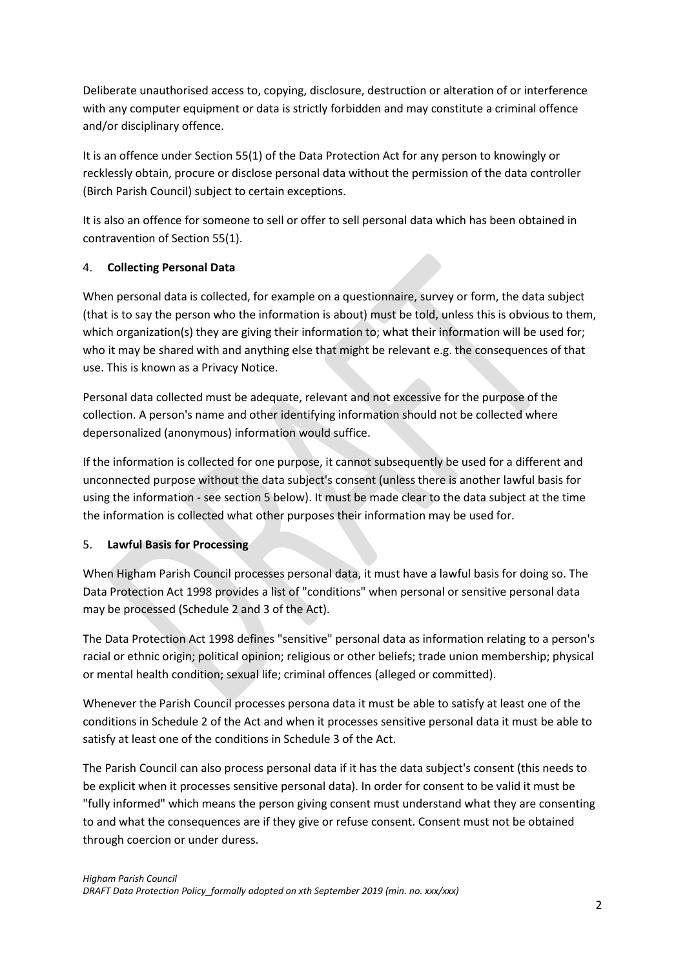Deliberate unauthorised access to, copying, disclosure, destruction or alteration of or interference with any computer equipment or data is strictly forbidden and may constitute a criminal offence and/or disciplinary offence.

It is an offence under Section 55(1) of the Data Protection Act for any person to knowingly or recklessly obtain, procure or disclose personal data without the permission of the data controller (Birch Parish Council) subject to certain exceptions.

It is also an offence for someone to sell or offer to sell personal data which has been obtained in contravention of Section 55(1).

#### 4. **Collecting Personal Data**

When personal data is collected, for example on a questionnaire, survey or form, the data subject (that is to say the person who the information is about) must be told, unless this is obvious to them, which organization(s) they are giving their information to; what their information will be used for; who it may be shared with and anything else that might be relevant e.g. the consequences of that use. This is known as a Privacy Notice.

Personal data collected must be adequate, relevant and not excessive for the purpose of the collection. A person's name and other identifying information should not be collected where depersonalized (anonymous) information would suffice.

If the information is collected for one purpose, it cannot subsequently be used for a different and unconnected purpose without the data subject's consent (unless there is another lawful basis for using the information - see section 5 below). It must be made clear to the data subject at the time the information is collected what other purposes their information may be used for.

#### 5. **Lawful Basis for Processing**

When Higham Parish Council processes personal data, it must have a lawful basis for doing so. The Data Protection Act 1998 provides a list of "conditions" when personal or sensitive personal data may be processed (Schedule 2 and 3 of the Act).

The Data Protection Act 1998 defines "sensitive" personal data as information relating to a person's racial or ethnic origin; political opinion; religious or other beliefs; trade union membership; physical or mental health condition; sexual life; criminal offences (alleged or committed).

Whenever the Parish Council processes persona data it must be able to satisfy at least one of the conditions in Schedule 2 of the Act and when it processes sensitive personal data it must be able to satisfy at least one of the conditions in Schedule 3 of the Act.

The Parish Council can also process personal data if it has the data subject's consent (this needs to be explicit when it processes sensitive personal data). In order for consent to be valid it must be "fully informed" which means the person giving consent must understand what they are consenting to and what the consequences are if they give or refuse consent. Consent must not be obtained through coercion or under duress.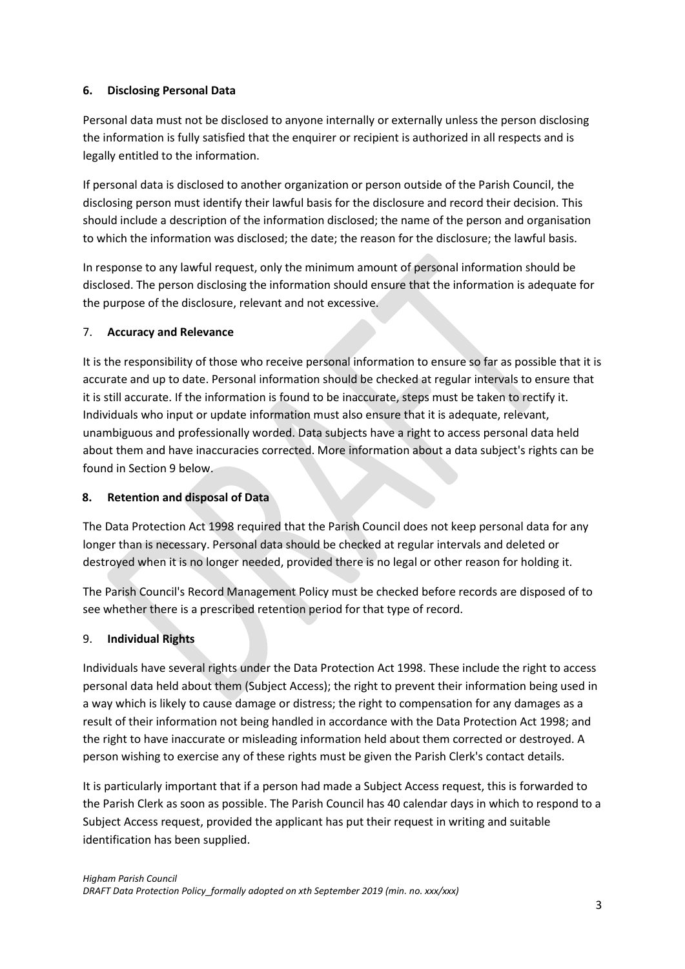### **6. Disclosing Personal Data**

Personal data must not be disclosed to anyone internally or externally unless the person disclosing the information is fully satisfied that the enquirer or recipient is authorized in all respects and is legally entitled to the information.

If personal data is disclosed to another organization or person outside of the Parish Council, the disclosing person must identify their lawful basis for the disclosure and record their decision. This should include a description of the information disclosed; the name of the person and organisation to which the information was disclosed; the date; the reason for the disclosure; the lawful basis.

In response to any lawful request, only the minimum amount of personal information should be disclosed. The person disclosing the information should ensure that the information is adequate for the purpose of the disclosure, relevant and not excessive.

## 7. **Accuracy and Relevance**

It is the responsibility of those who receive personal information to ensure so far as possible that it is accurate and up to date. Personal information should be checked at regular intervals to ensure that it is still accurate. If the information is found to be inaccurate, steps must be taken to rectify it. Individuals who input or update information must also ensure that it is adequate, relevant, unambiguous and professionally worded. Data subjects have a right to access personal data held about them and have inaccuracies corrected. More information about a data subject's rights can be found in Section 9 below.

#### **8. Retention and disposal of Data**

The Data Protection Act 1998 required that the Parish Council does not keep personal data for any longer than is necessary. Personal data should be checked at regular intervals and deleted or destroyed when it is no longer needed, provided there is no legal or other reason for holding it.

The Parish Council's Record Management Policy must be checked before records are disposed of to see whether there is a prescribed retention period for that type of record.

# 9. **Individual Rights**

Individuals have several rights under the Data Protection Act 1998. These include the right to access personal data held about them (Subject Access); the right to prevent their information being used in a way which is likely to cause damage or distress; the right to compensation for any damages as a result of their information not being handled in accordance with the Data Protection Act 1998; and the right to have inaccurate or misleading information held about them corrected or destroyed. A person wishing to exercise any of these rights must be given the Parish Clerk's contact details.

It is particularly important that if a person had made a Subject Access request, this is forwarded to the Parish Clerk as soon as possible. The Parish Council has 40 calendar days in which to respond to a Subject Access request, provided the applicant has put their request in writing and suitable identification has been supplied.